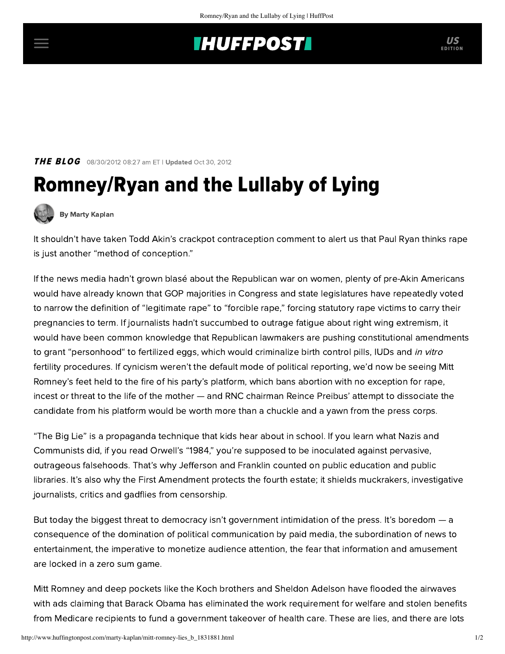## **INUFFPOST**

**THE BLOG** 08/30/2012 08:27 am ET | Updated Oct 30, 2012

## Romney/Ryan and the Lullaby of Lying



[By Marty Kaplan](http://www.huffingtonpost.com/author/marty-kaplan)

It shouldn't have taken Todd Akin's [crackpot contraception comment](http://thelede.blogs.nytimes.com/2012/08/20/myth-about-rape-and-pregnancy-is-not-new/) to alert us that Paul Ryan thinks rape is just another ["method of conception](http://www.rawstory.com/rs/2012/08/24/ryan-on-abortion-exceptions-rape-is-just-another-method-of-conception/)."

If the news media hadn't grown blasé about the Republican war on women, plenty of pre-Akin Americans would have already known that GOP majorities in Congress and state legislatures have repeatedly voted to narrow the definition of "legitimate rape" to "[forcible rape](http://www.slate.com/articles/news_and_politics/frame_game/2012/08/todd_akin_s_apology_his_comments_on_spousal_rape_and_forcible_rape_show_mistrust_of_women_.html)," forcing statutory rape victims to carry their pregnancies to term. If journalists hadn't succumbed to outrage fatigue about right wing extremism, it would have been common knowledge that Republican lawmakers are pushing constitutional amendments to grant "[personhood"](http://www.salon.com/2012/03/27/personhood_the_undead_movement_marches_on/) to fertilized eggs, which would criminalize birth control pills, IUDs and in vitro fertility procedures. If cynicism weren't the default mode of political reporting, we'd now be seeing Mitt Romney's feet held to the fire of his party's [platform,](http://www.businessweek.com/news/2012-08-20/republican-platform-won-t-protect-mortgage-tax-deduction) which bans abortion with no exception for rape, incest or threat to the life of the mother — and RNC chairman [Reince Preibus'](http://thehill.com/blogs/healthwatch/abortion/244549-priebus-rncs-abortion-policy-not-the-platform-of-mitt-romney) attempt to dissociate the candidate from his platform would be worth more than a chuckle and a yawn from the press corps.

"The Big Lie" is a propaganda technique that kids hear about in school. If you learn what Nazis and Communists did, if you read Orwell's "1984," you're supposed to be inoculated against pervasive, outrageous falsehoods. That's why Jefferson and Franklin counted on public education and public libraries. It's also why the First Amendment protects the fourth estate; it shields muckrakers, investigative journalists, critics and gadflies from censorship.

But today the biggest threat to democracy isn't government intimidation of the press. It's boredom — a consequence of the domination of political communication by paid media, the subordination of news to entertainment, the imperative to monetize audience attention, the fear that information and amusement are locked in a zero sum game.

Mitt Romney and deep pockets like the Koch brothers and Sheldon Adelson have flooded the airwaves with ads claiming that Barack Obama has eliminated the [work requirement](http://www.tnr.com/blog/electionate/106402/the-strategy-behind-romneys-welfare-ad) for welfare and stolen benefits from [Medicare](http://mediamatters.org/mobile/research/2012/08/16/a-guide-to-the-right-wing-medias-dishonest-medi/189385) recipients to funda [government takeover](http://www.politifact.com/truth-o-meter/statements/2011/may/13/mitt-romney/romney-calls-obamas-health-care-law-government-tak/) of health care. These are lies, and there are lots